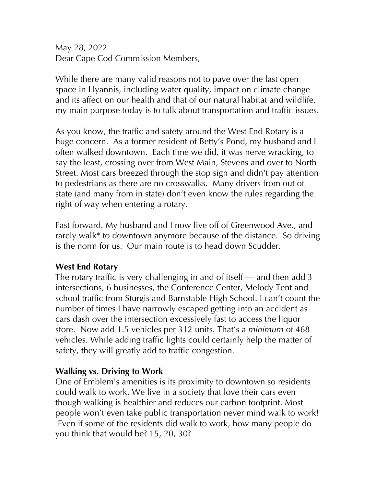May 28, 2022 Dear Cape Cod Commission Members,

While there are many valid reasons not to pave over the last open space in Hyannis, including water quality, impact on climate change and its affect on our health and that of our natural habitat and wildlife, my main purpose today is to talk about transportation and traffic issues.

As you know, the traffic and safety around the West End Rotary is a huge concern. As a former resident of Betty's Pond, my husband and I often walked downtown. Each time we did, it was nerve wracking, to say the least, crossing over from West Main, Stevens and over to North Street. Most cars breezed through the stop sign and didn't pay attention to pedestrians as there are no crosswalks. Many drivers from out of state (and many from in state) don't even know the rules regarding the right of way when entering a rotary.

Fast forward. My husband and I now live off of Greenwood Ave., and rarely walk\* to downtown anymore because of the distance. So driving is the norm for us. Our main route is to head down Scudder.

## **West End Rotary**

The rotary traffic is very challenging in and of itself — and then add 3 intersections, 6 businesses, the Conference Center, Melody Tent and school traffic from Sturgis and Barnstable High School. I can't count the number of times I have narrowly escaped getting into an accident as cars dash over the intersection excessively fast to access the liquor store. Now add 1.5 vehicles per 312 units. That's a *minimum* of 468 vehicles. While adding traffic lights could certainly help the matter of safety, they will greatly add to traffic congestion.

## **Walking vs. Driving to Work**

One of Emblem's amenities is its proximity to downtown so residents could walk to work. We live in a society that love their cars even though walking is healthier and reduces our carbon footprint. Most people won't even take public transportation never mind walk to work! Even if some of the residents did walk to work, how many people do you think that would be? 15, 20, 30?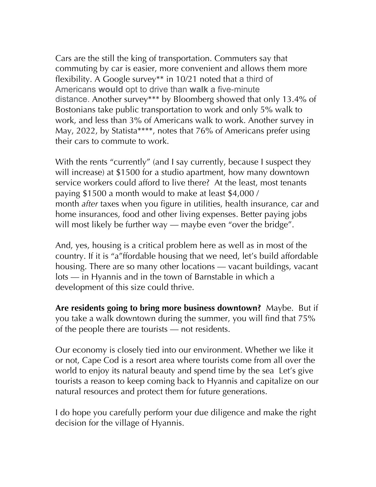Cars are the still the king of transportation. Commuters say that commuting by car is easier, more convenient and allows them more flexibility. A Google survey\*\* in 10/21 noted that a third of Americans **would** opt to drive than **walk** a five-minute distance. Another survey\*\*\* by Bloomberg showed that only 13.4% of Bostonians take public transportation to work and only 5% walk to work, and less than 3% of Americans walk to work. Another survey in May, 2022, by Statista\*\*\*\*, notes that 76% of Americans prefer using their cars to commute to work.

With the rents "currently" (and I say currently, because I suspect they will increase) at \$1500 for a studio apartment, how many downtown service workers could afford to live there? At the least, most tenants paying \$1500 a month would to make at least \$4,000 / month *after* taxes when you figure in utilities, health insurance, car and home insurances, food and other living expenses. Better paying jobs will most likely be further way — maybe even "over the bridge".

And, yes, housing is a critical problem here as well as in most of the country. If it is "a"ffordable housing that we need, let's build affordable housing. There are so many other locations — vacant buildings, vacant lots — in Hyannis and in the town of Barnstable in which a development of this size could thrive.

**Are residents going to bring more business downtown?** Maybe. But if you take a walk downtown during the summer, you will find that 75% of the people there are tourists — not residents.

Our economy is closely tied into our environment. Whether we like it or not, Cape Cod is a resort area where tourists come from all over the world to enjoy its natural beauty and spend time by the sea Let's give tourists a reason to keep coming back to Hyannis and capitalize on our natural resources and protect them for future generations.

I do hope you carefully perform your due diligence and make the right decision for the village of Hyannis.